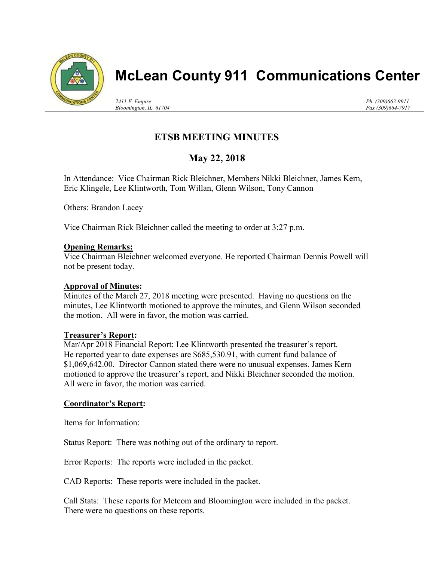

# McLean County 911 Communications Center

2411 E. Empire Bloomington, IL 61704 Ph. (309)663-9911 Fax (309)664-7917

# ETSB MEETING MINUTES

# May 22, 2018

In Attendance: Vice Chairman Rick Bleichner, Members Nikki Bleichner, James Kern, Eric Klingele, Lee Klintworth, Tom Willan, Glenn Wilson, Tony Cannon

Others: Brandon Lacey

Vice Chairman Rick Bleichner called the meeting to order at 3:27 p.m.

#### Opening Remarks:

Vice Chairman Bleichner welcomed everyone. He reported Chairman Dennis Powell will not be present today.

# Approval of Minutes:

Minutes of the March 27, 2018 meeting were presented. Having no questions on the minutes, Lee Klintworth motioned to approve the minutes, and Glenn Wilson seconded the motion. All were in favor, the motion was carried.

#### Treasurer's Report:

Mar/Apr 2018 Financial Report: Lee Klintworth presented the treasurer's report. He reported year to date expenses are \$685,530.91, with current fund balance of \$1,069,642.00. Director Cannon stated there were no unusual expenses. James Kern motioned to approve the treasurer's report, and Nikki Bleichner seconded the motion. All were in favor, the motion was carried.

#### Coordinator's Report:

Items for Information:

Status Report: There was nothing out of the ordinary to report.

Error Reports: The reports were included in the packet.

CAD Reports: These reports were included in the packet.

Call Stats: These reports for Metcom and Bloomington were included in the packet. There were no questions on these reports.